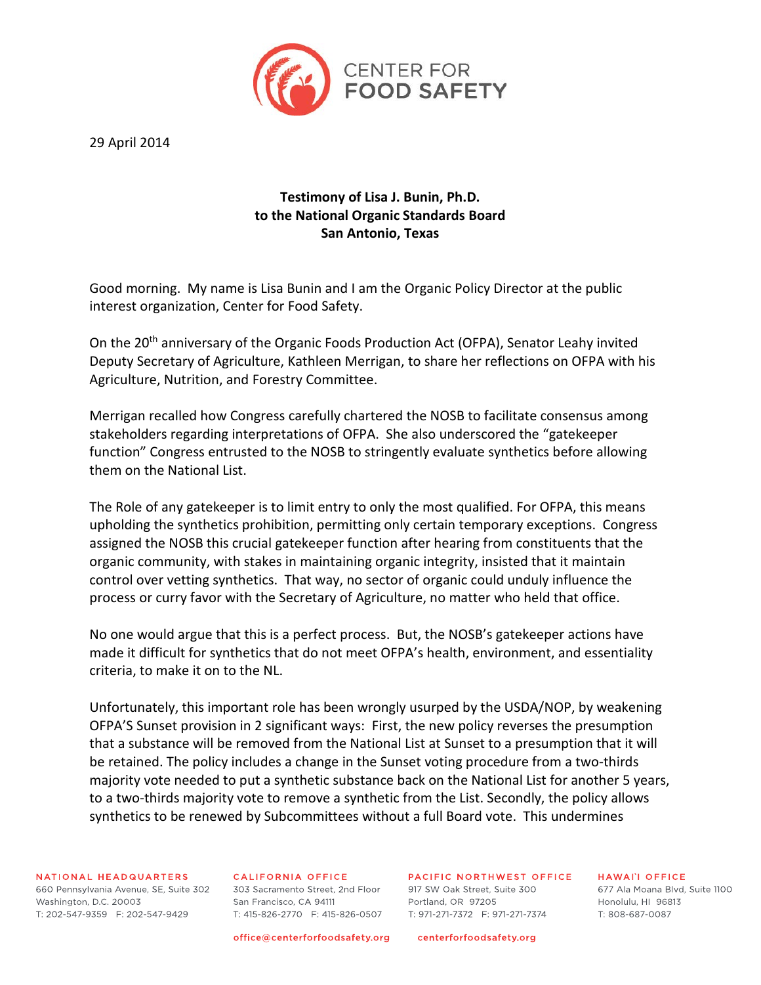

29 April 2014

# **Testimony of Lisa J. Bunin, Ph.D. to the National Organic Standards Board San Antonio, Texas**

Good morning. My name is Lisa Bunin and I am the Organic Policy Director at the public interest organization, Center for Food Safety.

On the 20<sup>th</sup> anniversary of the Organic Foods Production Act (OFPA), Senator Leahy invited Deputy Secretary of Agriculture, Kathleen Merrigan, to share her reflections on OFPA with his Agriculture, Nutrition, and Forestry Committee.

Merrigan recalled how Congress carefully chartered the NOSB to facilitate consensus among stakeholders regarding interpretations of OFPA. She also underscored the "gatekeeper function" Congress entrusted to the NOSB to stringently evaluate synthetics before allowing them on the National List.

The Role of any gatekeeper is to limit entry to only the most qualified. For OFPA, this means upholding the synthetics prohibition, permitting only certain temporary exceptions. Congress assigned the NOSB this crucial gatekeeper function after hearing from constituents that the organic community, with stakes in maintaining organic integrity, insisted that it maintain control over vetting synthetics. That way, no sector of organic could unduly influence the process or curry favor with the Secretary of Agriculture, no matter who held that office.

No one would argue that this is a perfect process. But, the NOSB's gatekeeper actions have made it difficult for synthetics that do not meet OFPA's health, environment, and essentiality criteria, to make it on to the NL.

Unfortunately, this important role has been wrongly usurped by the USDA/NOP, by weakening OFPA'S Sunset provision in 2 significant ways: First, the new policy reverses the presumption that a substance will be removed from the National List at Sunset to a presumption that it will be retained. The policy includes a change in the Sunset voting procedure from a two-thirds majority vote needed to put a synthetic substance back on the National List for another 5 years, to a two-thirds majority vote to remove a synthetic from the List. Secondly, the policy allows synthetics to be renewed by Subcommittees without a full Board vote. This undermines

# NATIONAL HEADQUARTERS

660 Pennsylvania Avenue, SE, Suite 302 303 Sacramento Street, 2nd Floor 917 SW Oak Street, Suite 300 Washington, D.C. 20003 T: 202-547-9359 F: 202-547-9429

# **CALIFORNIA OFFICE**

San Francisco, CA 94111 T: 415-826-2770 F: 415-826-0507

PACIFIC NORTHWEST OFFICE

Portland, OR 97205  **HAWAII OFFICE** 

677 Ala Moana Blvd, Suite 1100 Honolulu, HJ 96813 T: 808-687-0087

office@centerforfoodsafety.org

centerforfoodsafety.org